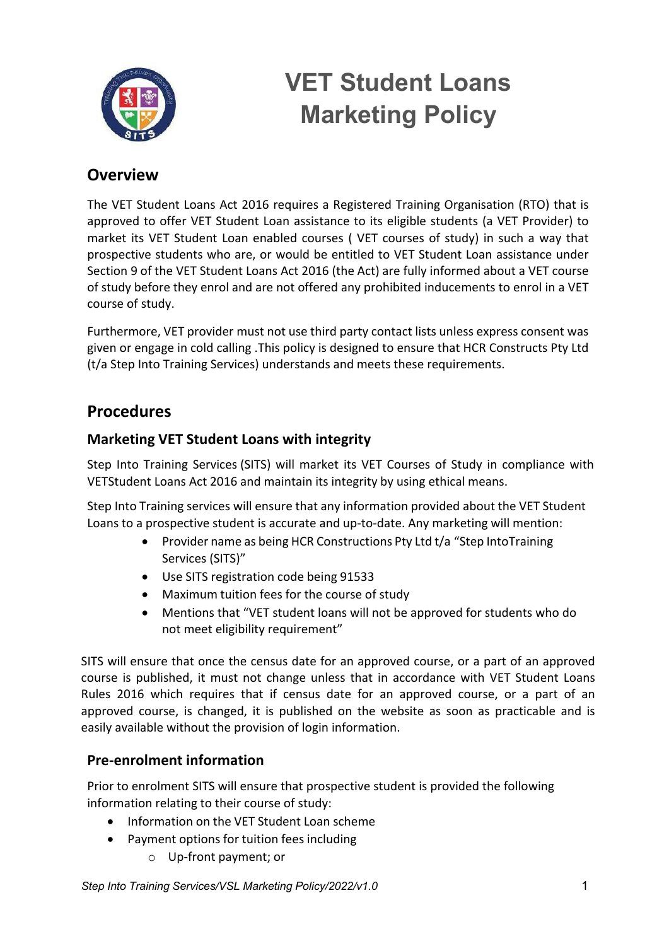

# **VET Student Loans Marketing Policy**

## **Overview**

The VET Student Loans Act 2016 requires a Registered Training Organisation (RTO) that is approved to offer VET Student Loan assistance to its eligible students (a VET Provider) to market its VET Student Loan enabled courses ( VET courses of study) in such a way that prospective students who are, or would be entitled to VET Student Loan assistance under Section 9 of the VET Student Loans Act 2016 (the Act) are fully informed about a VET course of study before they enrol and are not offered any prohibited inducements to enrol in a VET course of study.

Furthermore, VET provider must not use third party contact lists unless express consent was given or engage in cold calling .This policy is designed to ensure that HCR Constructs Pty Ltd (t/a Step Into Training Services) understands and meets these requirements.

## **Procedures**

### **Marketing VET Student Loans with integrity**

Step Into Training Services (SITS) will market its VET Courses of Study in compliance with VETStudent Loans Act 2016 and maintain its integrity by using ethical means.

Step Into Training services will ensure that any information provided about the VET Student Loans to a prospective student is accurate and up-to-date. Any marketing will mention:

- Provider name as being HCR Constructions Pty Ltd t/a "Step Into Training Services (SITS)"
- Use SITS registration code being 91533
- Maximum tuition fees for the course of study
- Mentions that "VET student loans will not be approved for students who do not meet eligibility requirement"

SITS will ensure that once the census date for an approved course, or a part of an approved course is published, it must not change unless that in accordance with VET Student Loans Rules 2016 which requires that if census date for an approved course, or a part of an approved course, is changed, it is published on the website as soon as practicable and is easily available without the provision of login information.

### **Pre-enrolment information**

Prior to enrolment SITS will ensure that prospective student is provided the following information relating to their course of study:

- Information on the VET Student Loan scheme
- Payment options for tuition fees including
	- o Up-front payment; or